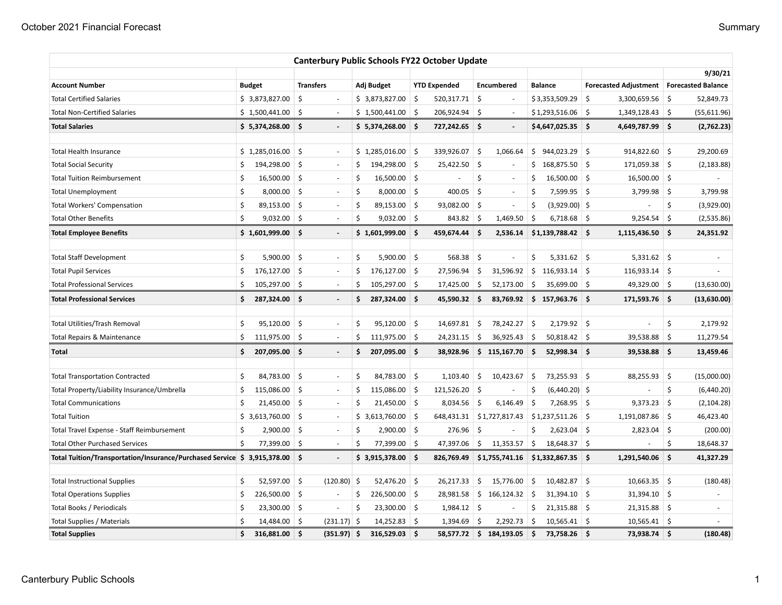|                                                                             |    |                    |                     |                          |    | <b>Canterbury Public Schools FY22 October Update</b> |                    |                     |     |                          |     |                                            |                    |                                            |            |                          |  |
|-----------------------------------------------------------------------------|----|--------------------|---------------------|--------------------------|----|------------------------------------------------------|--------------------|---------------------|-----|--------------------------|-----|--------------------------------------------|--------------------|--------------------------------------------|------------|--------------------------|--|
|                                                                             |    |                    |                     |                          |    |                                                      |                    |                     |     |                          |     |                                            |                    |                                            | 9/30/21    |                          |  |
| <b>Account Number</b>                                                       |    | <b>Budget</b>      |                     | <b>Transfers</b>         |    | Adj Budget                                           |                    | <b>YTD Expended</b> |     | <b>Encumbered</b>        |     | <b>Balance</b>                             |                    | Forecasted Adjustment   Forecasted Balance |            |                          |  |
| <b>Total Certified Salaries</b>                                             |    | \$3,873,827.00     | \$                  | $\sim$                   |    | \$3,873,827.00                                       | \$.                | 520,317.71          | \$  | $\sim$                   |     | \$3,353,509.29                             | \$                 | 3,300,659.56                               | ا \$       | 52,849.73                |  |
| <b>Total Non-Certified Salaries</b>                                         |    | \$1,500,441.00     | Ŝ.                  | $\sim$                   |    | \$1,500,441.00                                       | -\$                | 206,924.94          | S.  |                          |     | \$1,293,516.06                             | -\$                | $1,349,128.43$ \$                          |            | (55,611.96)              |  |
| <b>Total Salaries</b>                                                       |    | $$5,374,268.00$ \$ |                     | $\overline{\phantom{a}}$ |    | $$5,374,268.00$ \$                                   |                    | 727,242.65 \$       |     | $\overline{\phantom{a}}$ |     | $$4,647,025.35$ \$                         |                    | 4,649,787.99 \$                            |            | (2,762.23)               |  |
| <b>Total Health Insurance</b>                                               |    | \$1,285,016.00     | \$                  | $\overline{\phantom{a}}$ |    | \$1,285,016.00                                       | \$                 | 339,926.07          | \$  | 1,066.64                 |     | \$944,023.29                               | $\ddot{\varsigma}$ | 914,822.60                                 | \$         | 29,200.69                |  |
| <b>Total Social Security</b>                                                | \$ | 194,298.00         | \$                  | $\sim$                   | Ś  | 194,298.00 \$                                        |                    | 25,422.50           | \$  | $\overline{\phantom{a}}$ |     | $$168,875.50$ \$                           |                    | 171,059.38 \$                              |            | (2, 183.88)              |  |
| <b>Total Tuition Reimbursement</b>                                          | Ś  | 16,500.00          | \$                  | $\overline{\phantom{a}}$ | Ś  | $16,500.00$ \$                                       |                    |                     | \$  | $\overline{\phantom{a}}$ | S   | 16,500.00 \$                               |                    | $16,500.00$ \$                             |            |                          |  |
| <b>Total Unemployment</b>                                                   | \$ | 8,000.00           | 5                   | $\sim$                   | \$ | $8,000.00$ \$                                        |                    | 400.05              | \$  | $\overline{\phantom{a}}$ | \$  | 7,599.95 \$                                |                    | $3,799.98$ \$                              |            | 3,799.98                 |  |
| <b>Total Workers' Compensation</b>                                          | Ś  | 89,153.00          | -\$                 | ÷,                       | \$ | 89,153.00 \$                                         |                    | $93,082.00$ \$      |     | $\sim$                   | Ŝ   | $(3,929.00)$ \$                            |                    |                                            | Ś          | (3,929.00)               |  |
| <b>Total Other Benefits</b>                                                 | Ś. | 9,032.00           | Ŝ.                  | ÷,                       | Ś. | $9,032.00$ \$                                        |                    | 843.82              | \$  | 1,469.50                 | -\$ | $6,718.68$ \$                              |                    | 9,254.54                                   | \$         | (2,535.86)               |  |
| <b>Total Employee Benefits</b>                                              |    | \$1,601,999.00     | Ŝ.                  | $\overline{a}$           |    | \$1,601,999.00                                       | Ŝ.                 | 459,674.44          | \$. | 2,536.14                 |     | $$1,139,788.42$ \$                         |                    | 1,115,436.50                               | ∣\$        | 24,351.92                |  |
| <b>Total Staff Development</b>                                              | \$ | 5,900.00           | \$                  | $\sim$                   | \$ | $5,900.00$ \$                                        |                    | 568.38              | \$  |                          | \$  | $5,331.62$ \$                              |                    | 5,331.62                                   | $\vert$ \$ |                          |  |
| <b>Total Pupil Services</b>                                                 | \$ | 176,127.00         | \$                  | ÷,                       | \$ | $176,127.00$ \$                                      |                    | 27,596.94           | \$  | 31,596.92                | \$  | $116,933.14$ \$                            |                    | $116,933.14$ \$                            |            |                          |  |
| <b>Total Professional Services</b>                                          | \$ | 105,297.00         | Ŝ.                  | ÷,                       | \$ | $105,297.00$ \$                                      |                    | 17,425.00           | \$  | 52,173.00                | \$  | $35,699.00$ \$                             |                    | $49,329.00$ \$                             |            | (13,630.00)              |  |
| <b>Total Professional Services</b>                                          | \$ | 287,324.00         | ا \$                | $\blacksquare$           | \$ | 287,324.00 \$                                        |                    | 45,590.32           | \$. | 83,769.92                |     | $\frac{1}{2}$ \$ 157,963.76 $\frac{1}{2}$  |                    | 171,593.76                                 | $\vert$ \$ | (13,630.00)              |  |
| <b>Total Utilities/Trash Removal</b>                                        | \$ | 95,120.00          | \$                  | $\overline{\phantom{a}}$ | \$ | 95,120.00                                            | $\ddot{\varsigma}$ | 14,697.81           | \$  | 78,242.27                | -\$ | $2,179.92$ \$                              |                    |                                            | \$         | 2,179.92                 |  |
| Total Repairs & Maintenance                                                 | \$ | 111,975.00         | \$                  | $\overline{\phantom{a}}$ | \$ | $111,975.00$ \$                                      |                    | 24,231.15           | \$. | 36,925.43                | -\$ | $50,818.42$ \$                             |                    | 39,538.88                                  | ∣\$        | 11,279.54                |  |
| Total                                                                       | \$ | 207,095.00         | -\$                 | $\overline{a}$           | Ś  | 207,095.00 \$                                        |                    | 38,928.96           |     | \$115,167.70             | -\$ | $52,998.34$ \$                             |                    | 39,538.88                                  | \$ ا       | 13,459.46                |  |
| <b>Total Transportation Contracted</b>                                      | \$ | 84,783.00          | Ŝ.                  | $\sim$                   | \$ | 84,783.00 \$                                         |                    | 1,103.40            | \$  | 10,423.67                | \$  | 73,255.93 \$                               |                    | 88,255.93                                  | 5 ا        | (15,000.00)              |  |
| Total Property/Liability Insurance/Umbrella                                 | \$ | 115,086.00         | Ŝ.                  | $\overline{\phantom{a}}$ | \$ | 115,086.00                                           | -\$                | 121,526.20          | -\$ | $\sim$                   | \$  | $(6,440.20)$ \$                            |                    |                                            | \$         | (6,440.20)               |  |
|                                                                             | \$ | 21,450.00          | \$                  | $\sim$                   | \$ | $21,450.00$ \$                                       |                    | 8,034.56            | Ŝ.  | 6,146.49                 | \$  |                                            |                    | 9,373.23                                   | ∣\$        |                          |  |
| <b>Total Communications</b><br><b>Total Tuition</b>                         |    | \$3,613,760.00     | \$                  | $\sim$                   |    | \$3,613,760.00                                       | \$                 | 648,431.31          |     | \$1,727,817.43           |     | $7,268.95$ \$<br>$$1,237,511.26$ \$        |                    | 1,191,087.86                               | $\vert$ \$ | (2, 104.28)<br>46,423.40 |  |
| Total Travel Expense - Staff Reimbursement                                  | \$ | 2,900.00           | $\zeta$             | $\sim$                   | \$ | 2,900.00                                             | \$                 | 276.96              | \$  |                          | \$  | $2,623.04$ \$                              |                    | 2,823.04                                   | \$         | (200.00)                 |  |
| <b>Total Other Purchased Services</b>                                       | \$ | 77,399.00          | -\$                 | $\sim$                   | Ś  | 77,399.00 \$                                         |                    | 47,397.06           | \$  | 11,353.57                | Ŝ.  | 18,648.37 \$                               |                    | $\overline{\phantom{a}}$                   | \$         | 18,648.37                |  |
| Total Tuition/Transportation/Insurance/Purchased Service \$ 3,915,378.00 \$ |    |                    |                     | $\overline{a}$           |    | $$3,915,378.00$ \$                                   |                    | 826,769.49          |     | \$1,755,741.16           |     | $\frac{1}{2}$ \$1,332,867.35 $\frac{1}{2}$ |                    | 1,291,540.06 \$                            |            | 41,327.29                |  |
|                                                                             |    |                    |                     |                          |    |                                                      |                    |                     |     |                          |     |                                            |                    |                                            |            |                          |  |
| <b>Total Instructional Supplies</b>                                         | \$ | 52,597.00          | \$                  | $(120.80)$ \$            |    | 52,476.20 \$                                         |                    | 26,217.33           | \$  | 15,776.00                | \$  | 10,482.87                                  | \$                 | 10,663.35                                  | $\vert$ \$ | (180.48)                 |  |
| <b>Total Operations Supplies</b>                                            | \$ | 226,500.00         | $\ddot{\mathsf{S}}$ |                          | \$ | 226,500.00                                           | $\ddot{\varsigma}$ | 28,981.58           |     | \$166,124.32             | -\$ | $31,394.10$ \$                             |                    | $31,394.10$ \$                             |            |                          |  |
| Total Books / Periodicals                                                   | \$ | 23,300.00          | \$                  | ÷,                       | \$ | 23,300.00                                            | \$                 | 1,984.12            | -\$ |                          | \$  | $21,315.88$ \$                             |                    | 21,315.88                                  | $\vert$ \$ |                          |  |
| Total Supplies / Materials                                                  | \$ | 14,484.00          | Ŝ.                  | $(231.17)$ \$            |    | $14,252.83$ \$                                       |                    | 1,394.69            | Ŝ.  | 2,292.73                 | \$  | $10,565.41$ \$                             |                    | $10,565.41$ \$                             |            |                          |  |
| <b>Total Supplies</b>                                                       | \$ | 316,881.00         | \$.                 | (351.97) \$              |    | 316,529.03                                           | Ŝ.                 | 58,577.72           |     | \$184,193.05             | -\$ | 73,758.26 \$                               |                    | 73,938.74 \$                               |            | (180.48)                 |  |